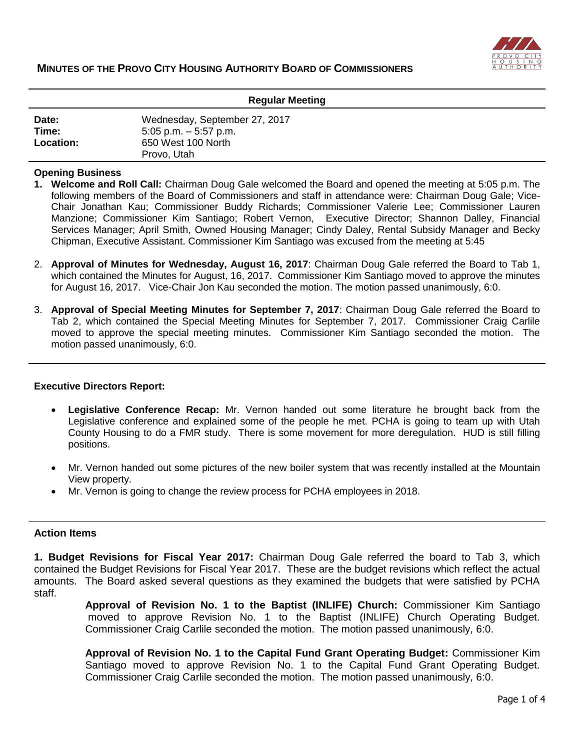

| <b>Regular Meeting</b>      |                                                                                                |
|-----------------------------|------------------------------------------------------------------------------------------------|
| Date:<br>Time:<br>Location: | Wednesday, September 27, 2017<br>$5:05$ p.m. $-5:57$ p.m.<br>650 West 100 North<br>Provo, Utah |

### **Opening Business**

- **1. Welcome and Roll Call:** Chairman Doug Gale welcomed the Board and opened the meeting at 5:05 p.m. The following members of the Board of Commissioners and staff in attendance were: Chairman Doug Gale; Vice-Chair Jonathan Kau; Commissioner Buddy Richards; Commissioner Valerie Lee; Commissioner Lauren Manzione; Commissioner Kim Santiago; Robert Vernon, Executive Director; Shannon Dalley, Financial Services Manager; April Smith, Owned Housing Manager; Cindy Daley, Rental Subsidy Manager and Becky Chipman, Executive Assistant. Commissioner Kim Santiago was excused from the meeting at 5:45
- 2. **Approval of Minutes for Wednesday, August 16, 2017**: Chairman Doug Gale referred the Board to Tab 1, which contained the Minutes for August, 16, 2017. Commissioner Kim Santiago moved to approve the minutes for August 16, 2017. Vice-Chair Jon Kau seconded the motion. The motion passed unanimously, 6:0.
- 3. **Approval of Special Meeting Minutes for September 7, 2017**: Chairman Doug Gale referred the Board to Tab 2, which contained the Special Meeting Minutes for September 7, 2017. Commissioner Craig Carlile moved to approve the special meeting minutes. Commissioner Kim Santiago seconded the motion. The motion passed unanimously, 6:0.

#### **Executive Directors Report:**

- **Legislative Conference Recap:** Mr. Vernon handed out some literature he brought back from the Legislative conference and explained some of the people he met. PCHA is going to team up with Utah County Housing to do a FMR study. There is some movement for more deregulation. HUD is still filling positions.
- Mr. Vernon handed out some pictures of the new boiler system that was recently installed at the Mountain View property.
- Mr. Vernon is going to change the review process for PCHA employees in 2018.

#### **Action Items**

**1. Budget Revisions for Fiscal Year 2017:** Chairman Doug Gale referred the board to Tab 3, which contained the Budget Revisions for Fiscal Year 2017. These are the budget revisions which reflect the actual amounts. The Board asked several questions as they examined the budgets that were satisfied by PCHA staff.

> **Approval of Revision No. 1 to the Baptist (INLIFE) Church:** Commissioner Kim Santiago moved to approve Revision No. 1 to the Baptist (INLIFE) Church Operating Budget. Commissioner Craig Carlile seconded the motion. The motion passed unanimously, 6:0.

> **Approval of Revision No. 1 to the Capital Fund Grant Operating Budget:** Commissioner Kim Santiago moved to approve Revision No. 1 to the Capital Fund Grant Operating Budget. Commissioner Craig Carlile seconded the motion. The motion passed unanimously, 6:0.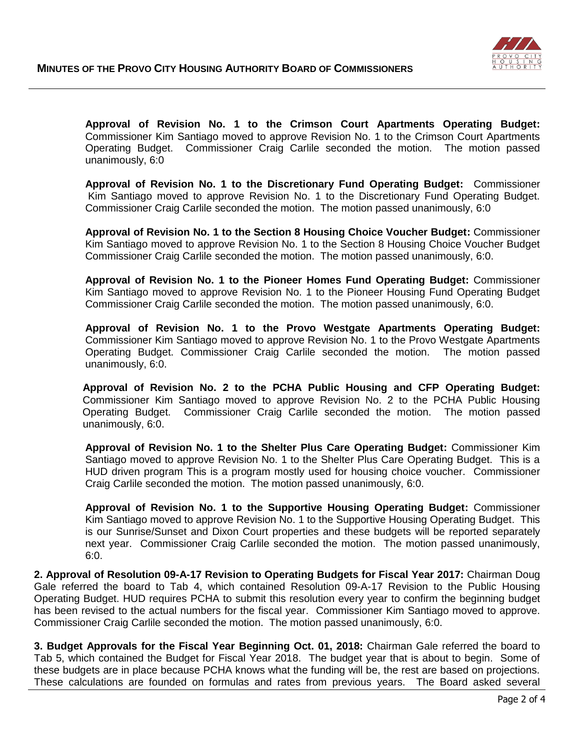

**Approval of Revision No. 1 to the Crimson Court Apartments Operating Budget:**  Commissioner Kim Santiago moved to approve Revision No. 1 to the Crimson Court Apartments Operating Budget. Commissioner Craig Carlile seconded the motion. The motion passed unanimously, 6:0

**Approval of Revision No. 1 to the Discretionary Fund Operating Budget:** Commissioner Kim Santiago moved to approve Revision No. 1 to the Discretionary Fund Operating Budget. Commissioner Craig Carlile seconded the motion. The motion passed unanimously, 6:0

**Approval of Revision No. 1 to the Section 8 Housing Choice Voucher Budget:** Commissioner Kim Santiago moved to approve Revision No. 1 to the Section 8 Housing Choice Voucher Budget Commissioner Craig Carlile seconded the motion. The motion passed unanimously, 6:0.

**Approval of Revision No. 1 to the Pioneer Homes Fund Operating Budget:** Commissioner Kim Santiago moved to approve Revision No. 1 to the Pioneer Housing Fund Operating Budget Commissioner Craig Carlile seconded the motion. The motion passed unanimously, 6:0.

**Approval of Revision No. 1 to the Provo Westgate Apartments Operating Budget:** Commissioner Kim Santiago moved to approve Revision No. 1 to the Provo Westgate Apartments Operating Budget. Commissioner Craig Carlile seconded the motion. The motion passed unanimously, 6:0.

 **Approval of Revision No. 2 to the PCHA Public Housing and CFP Operating Budget:** Commissioner Kim Santiago moved to approve Revision No. 2 to the PCHA Public Housing Operating Budget. Commissioner Craig Carlile seconded the motion. The motion passed unanimously, 6:0.

**Approval of Revision No. 1 to the Shelter Plus Care Operating Budget:** Commissioner Kim Santiago moved to approve Revision No. 1 to the Shelter Plus Care Operating Budget. This is a HUD driven program This is a program mostly used for housing choice voucher. Commissioner Craig Carlile seconded the motion. The motion passed unanimously, 6:0.

**Approval of Revision No. 1 to the Supportive Housing Operating Budget:** Commissioner Kim Santiago moved to approve Revision No. 1 to the Supportive Housing Operating Budget. This is our Sunrise/Sunset and Dixon Court properties and these budgets will be reported separately next year. Commissioner Craig Carlile seconded the motion. The motion passed unanimously, 6:0.

**2. Approval of Resolution 09-A-17 Revision to Operating Budgets for Fiscal Year 2017:** Chairman Doug Gale referred the board to Tab 4, which contained Resolution 09-A-17 Revision to the Public Housing Operating Budget. HUD requires PCHA to submit this resolution every year to confirm the beginning budget has been revised to the actual numbers for the fiscal year. Commissioner Kim Santiago moved to approve. Commissioner Craig Carlile seconded the motion. The motion passed unanimously, 6:0.

**3. Budget Approvals for the Fiscal Year Beginning Oct. 01, 2018:** Chairman Gale referred the board to Tab 5, which contained the Budget for Fiscal Year 2018. The budget year that is about to begin. Some of these budgets are in place because PCHA knows what the funding will be, the rest are based on projections. These calculations are founded on formulas and rates from previous years. The Board asked several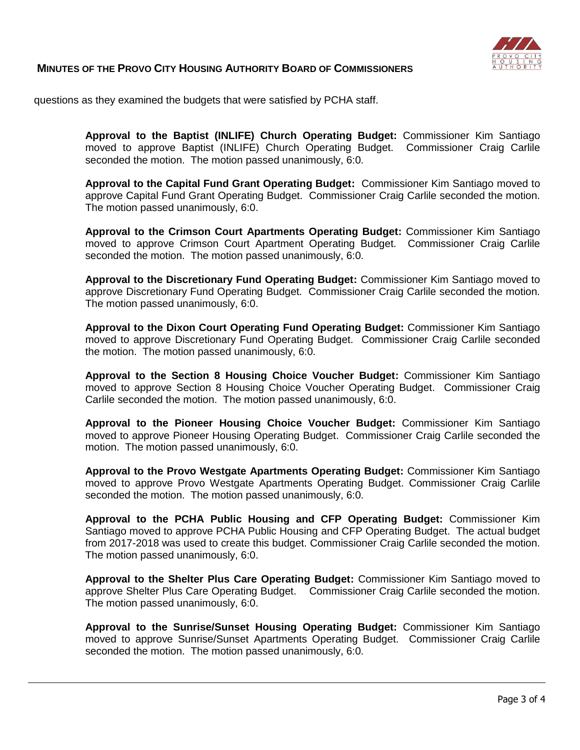

## **MINUTES OF THE PROVO CITY HOUSING AUTHORITY BOARD OF COMMISSIONERS**

questions as they examined the budgets that were satisfied by PCHA staff.

**Approval to the Baptist (INLIFE) Church Operating Budget:** Commissioner Kim Santiago moved to approve Baptist (INLIFE) Church Operating Budget. Commissioner Craig Carlile seconded the motion. The motion passed unanimously, 6:0.

**Approval to the Capital Fund Grant Operating Budget:** Commissioner Kim Santiago moved to approve Capital Fund Grant Operating Budget. Commissioner Craig Carlile seconded the motion. The motion passed unanimously, 6:0.

**Approval to the Crimson Court Apartments Operating Budget:** Commissioner Kim Santiago moved to approve Crimson Court Apartment Operating Budget. Commissioner Craig Carlile seconded the motion. The motion passed unanimously, 6:0.

**Approval to the Discretionary Fund Operating Budget:** Commissioner Kim Santiago moved to approve Discretionary Fund Operating Budget. Commissioner Craig Carlile seconded the motion. The motion passed unanimously, 6:0.

**Approval to the Dixon Court Operating Fund Operating Budget:** Commissioner Kim Santiago moved to approve Discretionary Fund Operating Budget. Commissioner Craig Carlile seconded the motion. The motion passed unanimously, 6:0.

**Approval to the Section 8 Housing Choice Voucher Budget:** Commissioner Kim Santiago moved to approve Section 8 Housing Choice Voucher Operating Budget. Commissioner Craig Carlile seconded the motion. The motion passed unanimously, 6:0.

**Approval to the Pioneer Housing Choice Voucher Budget:** Commissioner Kim Santiago moved to approve Pioneer Housing Operating Budget. Commissioner Craig Carlile seconded the motion. The motion passed unanimously, 6:0.

**Approval to the Provo Westgate Apartments Operating Budget:** Commissioner Kim Santiago moved to approve Provo Westgate Apartments Operating Budget. Commissioner Craig Carlile seconded the motion. The motion passed unanimously, 6:0.

**Approval to the PCHA Public Housing and CFP Operating Budget:** Commissioner Kim Santiago moved to approve PCHA Public Housing and CFP Operating Budget. The actual budget from 2017-2018 was used to create this budget. Commissioner Craig Carlile seconded the motion. The motion passed unanimously, 6:0.

**Approval to the Shelter Plus Care Operating Budget:** Commissioner Kim Santiago moved to approve Shelter Plus Care Operating Budget. Commissioner Craig Carlile seconded the motion. The motion passed unanimously, 6:0.

**Approval to the Sunrise/Sunset Housing Operating Budget:** Commissioner Kim Santiago moved to approve Sunrise/Sunset Apartments Operating Budget. Commissioner Craig Carlile seconded the motion. The motion passed unanimously, 6:0.